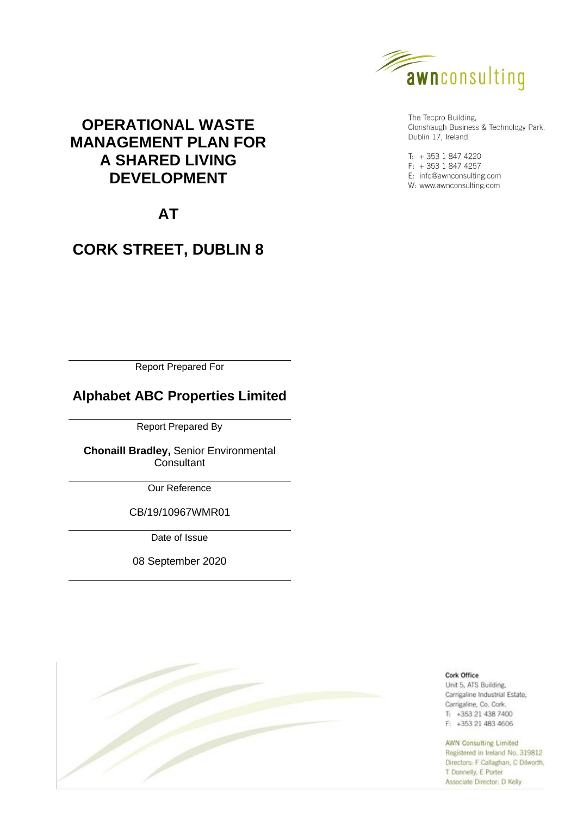

The Tecpro Building, Clonshaugh Business & Technology Park, Dublin 17, Ireland.

 $T: +35318474220$  $F: +35318474257$ E: info@awnconsulting.com W: www.awnconsulting.com

# **OPERATIONAL WASTE MANAGEMENT PLAN FOR A SHARED LIVING DEVELOPMENT**

# **AT**

# **CORK STREET, DUBLIN 8**

Report Prepared For

# **Alphabet ABC Properties Limited**

Report Prepared By

**Chonaill Bradley,** Senior Environmental **Consultant** 

Our Reference

CB/19/10967WMR01

Date of Issue

08 September 2020



Cork Office Unit 5, ATS Building, Carrigaline Industrial Estate, Carrigaline, Co. Cork.  $T_1$  +353 21 438 7400 F: +353 21 483 4606

#### **AWN Consulting Limited**

Registered in Ireland No. 319812 Directors: F Callaghan, C Dilworth, T Donnelly, E Porter Associate Director: D Kelly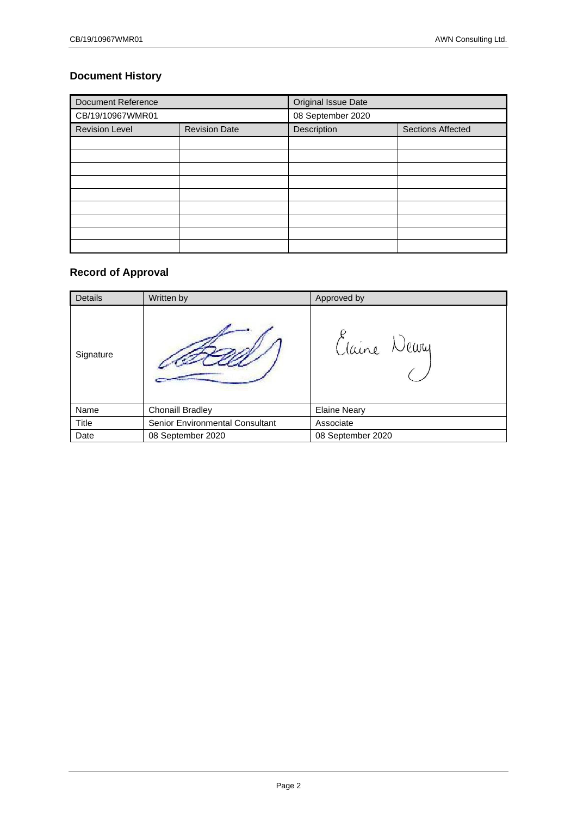# **Document History**

| <b>Document Reference</b> |                      | <b>Original Issue Date</b>              |  |  |
|---------------------------|----------------------|-----------------------------------------|--|--|
| CB/19/10967WMR01          |                      | 08 September 2020                       |  |  |
| <b>Revision Level</b>     | <b>Revision Date</b> | <b>Sections Affected</b><br>Description |  |  |
|                           |                      |                                         |  |  |
|                           |                      |                                         |  |  |
|                           |                      |                                         |  |  |
|                           |                      |                                         |  |  |
|                           |                      |                                         |  |  |
|                           |                      |                                         |  |  |
|                           |                      |                                         |  |  |
|                           |                      |                                         |  |  |
|                           |                      |                                         |  |  |

# **Record of Approval**

| <b>Details</b> | Written by                      | Approved by         |
|----------------|---------------------------------|---------------------|
| Signature      |                                 | Claine Newy         |
| Name           | Chonaill Bradley                | <b>Elaine Neary</b> |
| Title          | Senior Environmental Consultant | Associate           |
| Date           | 08 September 2020               | 08 September 2020   |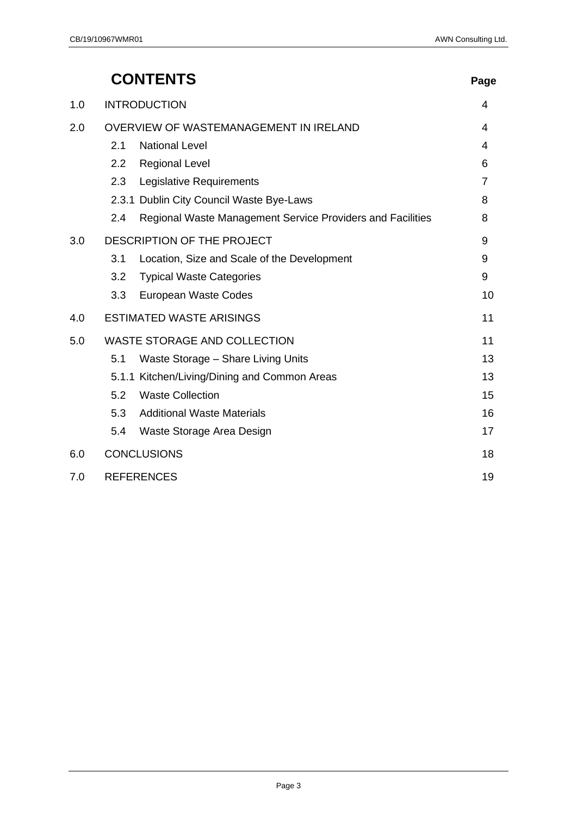|     | <b>CONTENTS</b>                                                   | Page           |
|-----|-------------------------------------------------------------------|----------------|
| 1.0 | <b>INTRODUCTION</b>                                               | 4              |
| 2.0 | OVERVIEW OF WASTEMANAGEMENT IN IRELAND                            |                |
|     | 2.1<br><b>National Level</b>                                      | 4              |
|     | 2.2<br><b>Regional Level</b>                                      | 6              |
|     | Legislative Requirements<br>2.3                                   | $\overline{7}$ |
|     | 2.3.1 Dublin City Council Waste Bye-Laws                          | 8              |
|     | Regional Waste Management Service Providers and Facilities<br>2.4 | 8              |
| 3.0 | DESCRIPTION OF THE PROJECT                                        | 9              |
|     | 3.1<br>Location, Size and Scale of the Development                | 9              |
|     | 3.2<br><b>Typical Waste Categories</b>                            | 9              |
|     | 3.3<br>European Waste Codes                                       | 10             |
| 4.0 | <b>ESTIMATED WASTE ARISINGS</b>                                   | 11             |
| 5.0 | <b>WASTE STORAGE AND COLLECTION</b>                               | 11             |
|     | 5.1<br>Waste Storage - Share Living Units                         | 13             |
|     | 5.1.1 Kitchen/Living/Dining and Common Areas                      | 13             |
|     | <b>Waste Collection</b><br>5.2                                    | 15             |
|     | 5.3<br><b>Additional Waste Materials</b>                          | 16             |
|     | 5.4<br>Waste Storage Area Design                                  | 17             |
| 6.0 | <b>CONCLUSIONS</b>                                                | 18             |
| 7.0 | <b>REFERENCES</b>                                                 |                |

#### Page 3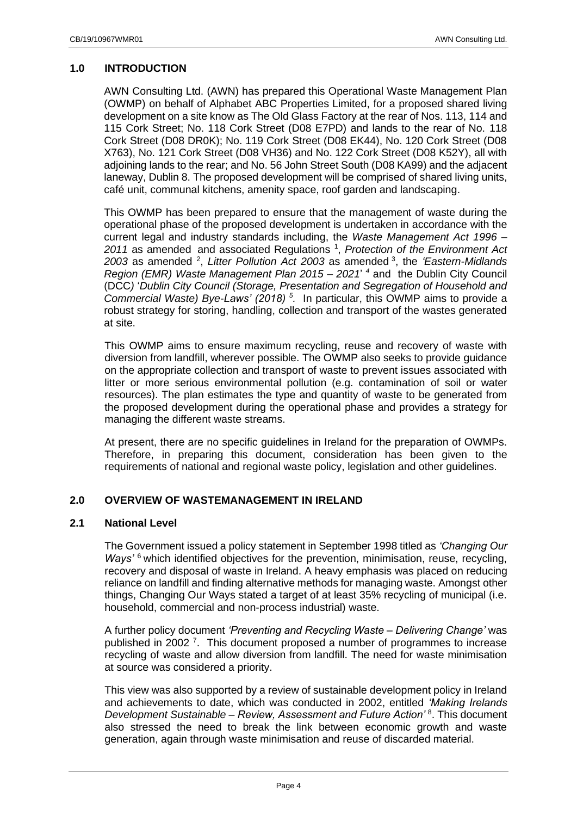# <span id="page-3-0"></span>**1.0 INTRODUCTION**

AWN Consulting Ltd. (AWN) has prepared this Operational Waste Management Plan (OWMP) on behalf of Alphabet ABC Properties Limited, for a proposed shared living development on a site know as The Old Glass Factory at the rear of Nos. 113, 114 and 115 Cork Street; No. 118 Cork Street (D08 E7PD) and lands to the rear of No. 118 Cork Street (D08 DR0K); No. 119 Cork Street (D08 EK44), No. 120 Cork Street (D08 X763), No. 121 Cork Street (D08 VH36) and No. 122 Cork Street (D08 K52Y), all with adjoining lands to the rear; and No. 56 John Street South (D08 KA99) and the adjacent laneway, Dublin 8. The proposed development will be comprised of shared living units, café unit, communal kitchens, amenity space, roof garden and landscaping.

This OWMP has been prepared to ensure that the management of waste during the operational phase of the proposed development is undertaken in accordance with the current legal and industry standards including, the *Waste Management Act 1996 –* 2011 as amended and associated Regulations<sup>1</sup>, Protection of the Environment Act *2003* as amended <sup>2</sup> , *Litter Pollution Act 2003* as amended <sup>3</sup> , the *'Eastern-Midlands Region (EMR) Waste Management Plan 2015 – 2021*' *<sup>4</sup>* and the Dublin City Council (DCC*)* '*Dublin City Council (Storage, Presentation and Segregation of Household and Commercial Waste) Bye-Laws' (2018) <sup>5</sup> .* In particular, this OWMP aims to provide a robust strategy for storing, handling, collection and transport of the wastes generated at site.

This OWMP aims to ensure maximum recycling, reuse and recovery of waste with diversion from landfill, wherever possible. The OWMP also seeks to provide guidance on the appropriate collection and transport of waste to prevent issues associated with litter or more serious environmental pollution (e.g. contamination of soil or water resources). The plan estimates the type and quantity of waste to be generated from the proposed development during the operational phase and provides a strategy for managing the different waste streams.

At present, there are no specific guidelines in Ireland for the preparation of OWMPs. Therefore, in preparing this document, consideration has been given to the requirements of national and regional waste policy, legislation and other guidelines.

#### <span id="page-3-1"></span>**2.0 OVERVIEW OF WASTEMANAGEMENT IN IRELAND**

#### <span id="page-3-2"></span>**2.1 National Level**

The Government issued a policy statement in September 1998 titled as *'Changing Our Ways'* <sup>6</sup> which identified objectives for the prevention, minimisation, reuse, recycling, recovery and disposal of waste in Ireland. A heavy emphasis was placed on reducing reliance on landfill and finding alternative methods for managing waste. Amongst other things, Changing Our Ways stated a target of at least 35% recycling of municipal (i.e. household, commercial and non-process industrial) waste.

A further policy document *'Preventing and Recycling Waste – Delivering Change'* was published in 2002<sup>7</sup>. This document proposed a number of programmes to increase recycling of waste and allow diversion from landfill. The need for waste minimisation at source was considered a priority.

This view was also supported by a review of sustainable development policy in Ireland and achievements to date, which was conducted in 2002, entitled *'Making Irelands Development Sustainable – Review, Assessment and Future Action'* <sup>8</sup> . This document also stressed the need to break the link between economic growth and waste generation, again through waste minimisation and reuse of discarded material.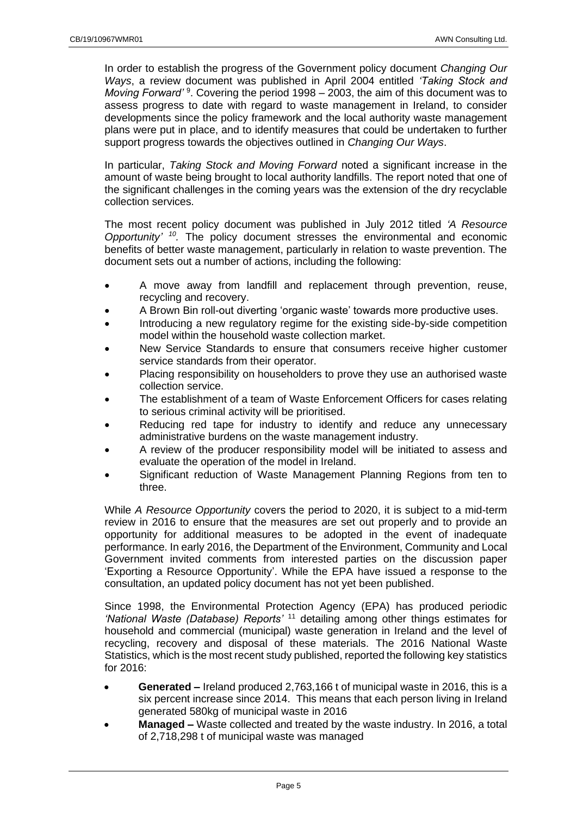In order to establish the progress of the Government policy document *Changing Our Ways*, a review document was published in April 2004 entitled *'Taking Stock and*  Moving Forward<sup>' 9</sup>. Covering the period 1998 – 2003, the aim of this document was to assess progress to date with regard to waste management in Ireland, to consider developments since the policy framework and the local authority waste management plans were put in place, and to identify measures that could be undertaken to further support progress towards the objectives outlined in *Changing Our Ways*.

In particular, *Taking Stock and Moving Forward* noted a significant increase in the amount of waste being brought to local authority landfills. The report noted that one of the significant challenges in the coming years was the extension of the dry recyclable collection services.

The most recent policy document was published in July 2012 titled *'A Resource Opportunity' 10 .* The policy document stresses the environmental and economic benefits of better waste management, particularly in relation to waste prevention. The document sets out a number of actions, including the following:

- A move away from landfill and replacement through prevention, reuse, recycling and recovery.
- A Brown Bin roll-out diverting 'organic waste' towards more productive uses.
- Introducing a new regulatory regime for the existing side-by-side competition model within the household waste collection market.
- New Service Standards to ensure that consumers receive higher customer service standards from their operator.
- Placing responsibility on householders to prove they use an authorised waste collection service.
- The establishment of a team of Waste Enforcement Officers for cases relating to serious criminal activity will be prioritised.
- Reducing red tape for industry to identify and reduce any unnecessary administrative burdens on the waste management industry.
- A review of the producer responsibility model will be initiated to assess and evaluate the operation of the model in Ireland.
- Significant reduction of Waste Management Planning Regions from ten to three.

While *A Resource Opportunity* covers the period to 2020, it is subject to a mid-term review in 2016 to ensure that the measures are set out properly and to provide an opportunity for additional measures to be adopted in the event of inadequate performance. In early 2016, the Department of the Environment, Community and Local Government invited comments from interested parties on the discussion paper 'Exporting a Resource Opportunity'. While the EPA have issued a response to the consultation, an updated policy document has not yet been published.

Since 1998, the Environmental Protection Agency (EPA) has produced periodic *'National Waste (Database) Reports'* <sup>11</sup> detailing among other things estimates for household and commercial (municipal) waste generation in Ireland and the level of recycling, recovery and disposal of these materials. The 2016 National Waste Statistics, which is the most recent study published, reported the following key statistics for 2016:

- **Generated –** Ireland produced 2,763,166 t of municipal waste in 2016, this is a six percent increase since 2014. This means that each person living in Ireland generated 580kg of municipal waste in 2016
- **Managed –** Waste collected and treated by the waste industry. In 2016, a total of 2,718,298 t of municipal waste was managed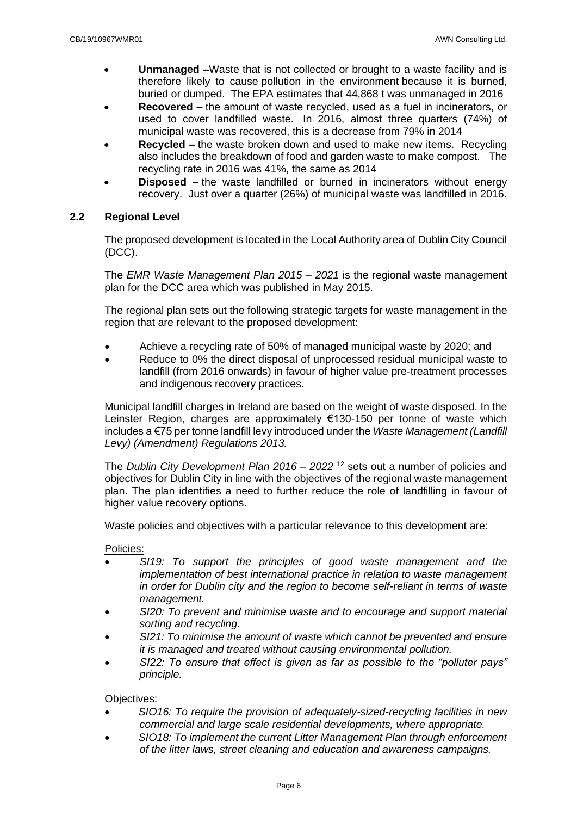- **Unmanaged –**Waste that is not collected or brought to a waste facility and is therefore likely to cause pollution in the environment because it is burned, buried or dumped. The EPA estimates that 44,868 t was unmanaged in 2016
- **Recovered –** the amount of waste recycled, used as a fuel in incinerators, or used to cover landfilled waste. In 2016, almost three quarters (74%) of municipal waste was recovered, this is a decrease from 79% in 2014
- **Recycled –** the waste broken down and used to make new items. Recycling also includes the breakdown of food and garden waste to make compost. The recycling rate in 2016 was 41%, the same as 2014
- **Disposed –** the waste landfilled or burned in incinerators without energy recovery. Just over a quarter (26%) of municipal waste was landfilled in 2016.

# <span id="page-5-0"></span>**2.2 Regional Level**

The proposed development is located in the Local Authority area of Dublin City Council (DCC).

The *EMR Waste Management Plan 2015 – 2021* is the regional waste management plan for the DCC area which was published in May 2015.

The regional plan sets out the following strategic targets for waste management in the region that are relevant to the proposed development:

- Achieve a recycling rate of 50% of managed municipal waste by 2020; and
- Reduce to 0% the direct disposal of unprocessed residual municipal waste to landfill (from 2016 onwards) in favour of higher value pre-treatment processes and indigenous recovery practices.

Municipal landfill charges in Ireland are based on the weight of waste disposed. In the Leinster Region, charges are approximately €130-150 per tonne of waste which includes a €75 per tonne landfill levy introduced under the *Waste Management (Landfill Levy) (Amendment) Regulations 2013.*

The *Dublin City Development Plan 2016 – 2022* <sup>12</sup> sets out a number of policies and objectives for Dublin City in line with the objectives of the regional waste management plan. The plan identifies a need to further reduce the role of landfilling in favour of higher value recovery options.

Waste policies and objectives with a particular relevance to this development are:

Policies:

- *SI19: To support the principles of good waste management and the implementation of best international practice in relation to waste management in order for Dublin city and the region to become self-reliant in terms of waste management.*
- *SI20: To prevent and minimise waste and to encourage and support material sorting and recycling.*
- *SI21: To minimise the amount of waste which cannot be prevented and ensure it is managed and treated without causing environmental pollution.*
- *SI22: To ensure that effect is given as far as possible to the "polluter pays" principle.*

Objectives:

- *SIO16: To require the provision of adequately-sized-recycling facilities in new commercial and large scale residential developments, where appropriate.*
- *SIO18: To implement the current Litter Management Plan through enforcement of the litter laws, street cleaning and education and awareness campaigns.*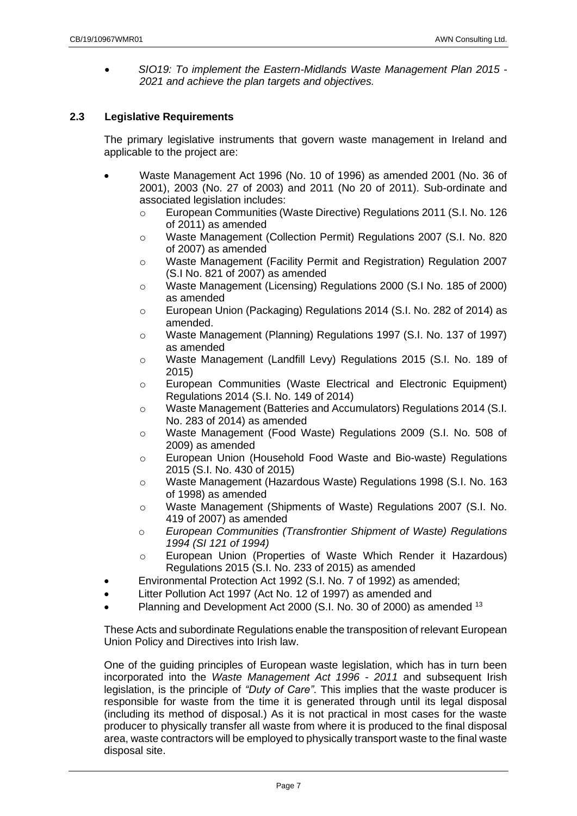• *SIO19: To implement the Eastern-Midlands Waste Management Plan 2015 - 2021 and achieve the plan targets and objectives.*

# <span id="page-6-0"></span>**2.3 Legislative Requirements**

The primary legislative instruments that govern waste management in Ireland and applicable to the project are:

- Waste Management Act 1996 (No. 10 of 1996) as amended 2001 (No. 36 of 2001), 2003 (No. 27 of 2003) and 2011 (No 20 of 2011). Sub-ordinate and associated legislation includes:
	- o European Communities (Waste Directive) Regulations 2011 (S.I. No. 126 of 2011) as amended
	- o Waste Management (Collection Permit) Regulations 2007 (S.I. No. 820 of 2007) as amended
	- o Waste Management (Facility Permit and Registration) Regulation 2007 (S.I No. 821 of 2007) as amended
	- o Waste Management (Licensing) Regulations 2000 (S.I No. 185 of 2000) as amended
	- o European Union (Packaging) Regulations 2014 (S.I. No. 282 of 2014) as amended.
	- o Waste Management (Planning) Regulations 1997 (S.I. No. 137 of 1997) as amended
	- o Waste Management (Landfill Levy) Regulations 2015 (S.I. No. 189 of 2015)
	- o European Communities (Waste Electrical and Electronic Equipment) Regulations 2014 (S.I. No. 149 of 2014)
	- o Waste Management (Batteries and Accumulators) Regulations 2014 (S.I. No. 283 of 2014) as amended
	- o Waste Management (Food Waste) Regulations 2009 (S.I. No. 508 of 2009) as amended
	- o European Union (Household Food Waste and Bio-waste) Regulations 2015 (S.I. No. 430 of 2015)
	- o Waste Management (Hazardous Waste) Regulations 1998 (S.I. No. 163 of 1998) as amended
	- o Waste Management (Shipments of Waste) Regulations 2007 (S.I. No. 419 of 2007) as amended
	- o *European Communities (Transfrontier Shipment of Waste) Regulations 1994 (SI 121 of 1994)*
	- o European Union (Properties of Waste Which Render it Hazardous) Regulations 2015 (S.I. No. 233 of 2015) as amended
- Environmental Protection Act 1992 (S.I. No. 7 of 1992) as amended;
- Litter Pollution Act 1997 (Act No. 12 of 1997) as amended and
- Planning and Development Act 2000 (S.I. No. 30 of 2000) as amended <sup>13</sup>

These Acts and subordinate Regulations enable the transposition of relevant European Union Policy and Directives into Irish law.

One of the guiding principles of European waste legislation, which has in turn been incorporated into the *Waste Management Act 1996 - 2011* and subsequent Irish legislation, is the principle of *"Duty of Care"*. This implies that the waste producer is responsible for waste from the time it is generated through until its legal disposal (including its method of disposal.) As it is not practical in most cases for the waste producer to physically transfer all waste from where it is produced to the final disposal area, waste contractors will be employed to physically transport waste to the final waste disposal site.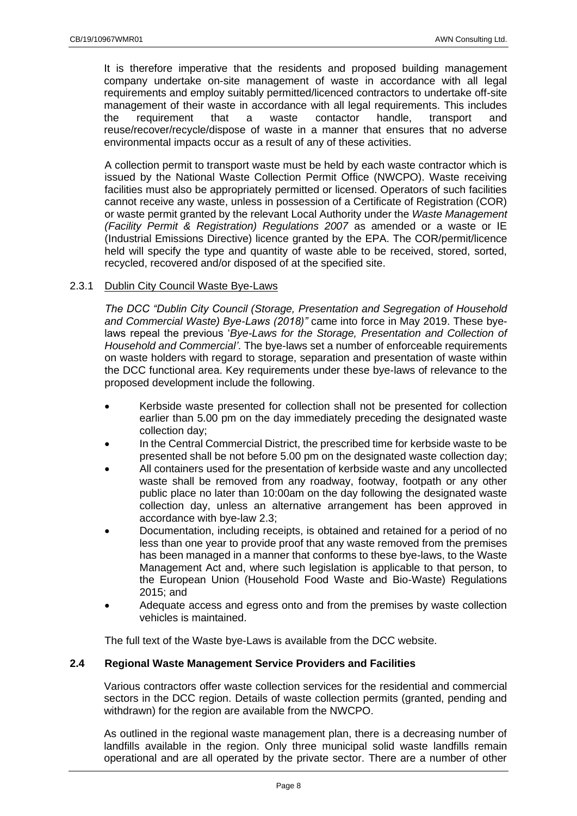It is therefore imperative that the residents and proposed building management company undertake on-site management of waste in accordance with all legal requirements and employ suitably permitted/licenced contractors to undertake off-site management of their waste in accordance with all legal requirements. This includes<br>the requirement that a waste contactor handle, transport and the requirement that a waste contactor handle, transport and reuse/recover/recycle/dispose of waste in a manner that ensures that no adverse environmental impacts occur as a result of any of these activities.

A collection permit to transport waste must be held by each waste contractor which is issued by the National Waste Collection Permit Office (NWCPO). Waste receiving facilities must also be appropriately permitted or licensed. Operators of such facilities cannot receive any waste, unless in possession of a Certificate of Registration (COR) or waste permit granted by the relevant Local Authority under the *Waste Management (Facility Permit & Registration) Regulations 2007* as amended or a waste or IE (Industrial Emissions Directive) licence granted by the EPA. The COR/permit/licence held will specify the type and quantity of waste able to be received, stored, sorted, recycled, recovered and/or disposed of at the specified site.

# <span id="page-7-0"></span>2.3.1 Dublin City Council Waste Bye-Laws

*The DCC "Dublin City Council (Storage, Presentation and Segregation of Household and Commercial Waste) Bye-Laws (2018)"* came into force in May 2019. These byelaws repeal the previous '*Bye-Laws for the Storage, Presentation and Collection of Household and Commercial'*. The bye-laws set a number of enforceable requirements on waste holders with regard to storage, separation and presentation of waste within the DCC functional area. Key requirements under these bye-laws of relevance to the proposed development include the following.

- Kerbside waste presented for collection shall not be presented for collection earlier than 5.00 pm on the day immediately preceding the designated waste collection day;
- In the Central Commercial District, the prescribed time for kerbside waste to be presented shall be not before 5.00 pm on the designated waste collection day;
- All containers used for the presentation of kerbside waste and any uncollected waste shall be removed from any roadway, footway, footpath or any other public place no later than 10:00am on the day following the designated waste collection day, unless an alternative arrangement has been approved in accordance with bye-law 2.3;
- Documentation, including receipts, is obtained and retained for a period of no less than one year to provide proof that any waste removed from the premises has been managed in a manner that conforms to these bye-laws, to the Waste Management Act and, where such legislation is applicable to that person, to the European Union (Household Food Waste and Bio-Waste) Regulations 2015; and
- Adequate access and egress onto and from the premises by waste collection vehicles is maintained.

The full text of the Waste bye-Laws is available from the DCC website.

# <span id="page-7-1"></span>**2.4 Regional Waste Management Service Providers and Facilities**

Various contractors offer waste collection services for the residential and commercial sectors in the DCC region. Details of waste collection permits (granted, pending and withdrawn) for the region are available from the NWCPO.

As outlined in the regional waste management plan, there is a decreasing number of landfills available in the region. Only three municipal solid waste landfills remain operational and are all operated by the private sector. There are a number of other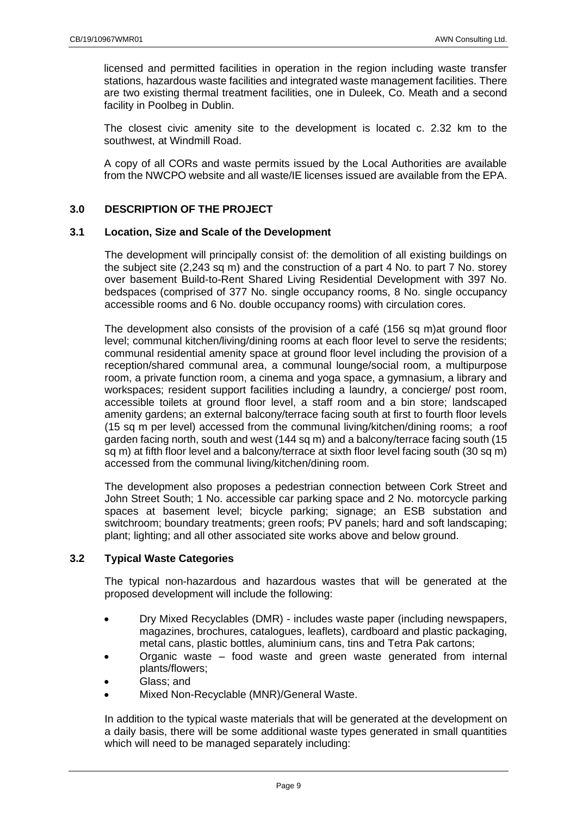licensed and permitted facilities in operation in the region including waste transfer stations, hazardous waste facilities and integrated waste management facilities. There are two existing thermal treatment facilities, one in Duleek, Co. Meath and a second facility in Poolbeg in Dublin.

The closest civic amenity site to the development is located c. 2.32 km to the southwest, at Windmill Road.

A copy of all CORs and waste permits issued by the Local Authorities are available from the NWCPO website and all waste/IE licenses issued are available from the EPA.

# <span id="page-8-0"></span>**3.0 DESCRIPTION OF THE PROJECT**

# <span id="page-8-1"></span>**3.1 Location, Size and Scale of the Development**

The development will principally consist of: the demolition of all existing buildings on the subject site (2,243 sq m) and the construction of a part 4 No. to part 7 No. storey over basement Build-to-Rent Shared Living Residential Development with 397 No. bedspaces (comprised of 377 No. single occupancy rooms, 8 No. single occupancy accessible rooms and 6 No. double occupancy rooms) with circulation cores.

The development also consists of the provision of a café (156 sq m)at ground floor level; communal kitchen/living/dining rooms at each floor level to serve the residents; communal residential amenity space at ground floor level including the provision of a reception/shared communal area, a communal lounge/social room, a multipurpose room, a private function room, a cinema and yoga space, a gymnasium, a library and workspaces; resident support facilities including a laundry, a concierge/ post room, accessible toilets at ground floor level, a staff room and a bin store; landscaped amenity gardens; an external balcony/terrace facing south at first to fourth floor levels (15 sq m per level) accessed from the communal living/kitchen/dining rooms; a roof garden facing north, south and west (144 sq m) and a balcony/terrace facing south (15 sq m) at fifth floor level and a balcony/terrace at sixth floor level facing south (30 sq m) accessed from the communal living/kitchen/dining room.

The development also proposes a pedestrian connection between Cork Street and John Street South; 1 No. accessible car parking space and 2 No. motorcycle parking spaces at basement level; bicycle parking; signage; an ESB substation and switchroom; boundary treatments; green roofs; PV panels; hard and soft landscaping; plant; lighting; and all other associated site works above and below ground.

# <span id="page-8-2"></span>**3.2 Typical Waste Categories**

The typical non-hazardous and hazardous wastes that will be generated at the proposed development will include the following:

- Dry Mixed Recyclables (DMR) includes waste paper (including newspapers, magazines, brochures, catalogues, leaflets), cardboard and plastic packaging, metal cans, plastic bottles, aluminium cans, tins and Tetra Pak cartons;
- Organic waste food waste and green waste generated from internal plants/flowers;
- Glass; and
- Mixed Non-Recyclable (MNR)/General Waste.

In addition to the typical waste materials that will be generated at the development on a daily basis, there will be some additional waste types generated in small quantities which will need to be managed separately including: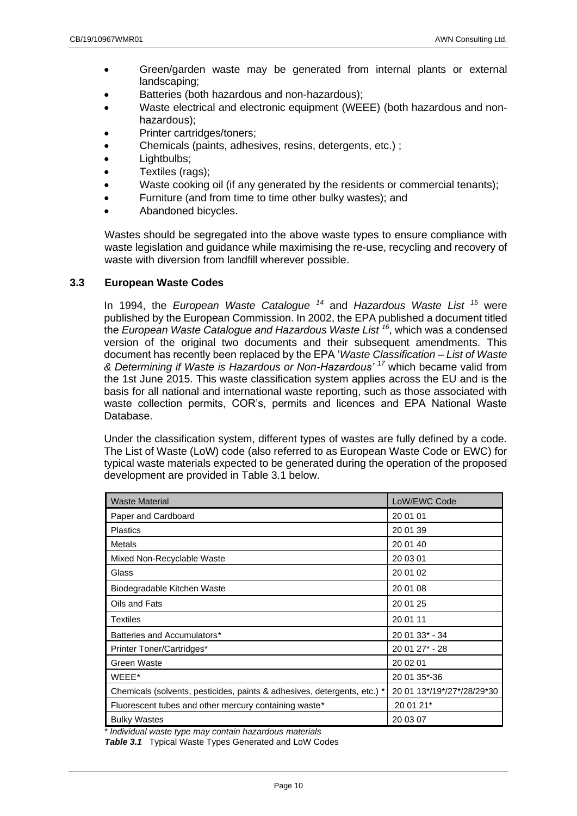- Green/garden waste may be generated from internal plants or external landscaping;
- Batteries (both hazardous and non-hazardous);
- Waste electrical and electronic equipment (WEEE) (both hazardous and nonhazardous);
- Printer cartridges/toners;
- Chemicals (paints, adhesives, resins, detergents, etc.) ;
- Lightbulbs:
- Textiles (rags):
- Waste cooking oil (if any generated by the residents or commercial tenants);
- Furniture (and from time to time other bulky wastes); and
- Abandoned bicycles.

Wastes should be segregated into the above waste types to ensure compliance with waste legislation and guidance while maximising the re-use, recycling and recovery of waste with diversion from landfill wherever possible.

# <span id="page-9-0"></span>**3.3 European Waste Codes**

In 1994, the *European Waste Catalogue <sup>14</sup>* and *Hazardous Waste List <sup>15</sup>* were published by the European Commission. In 2002, the EPA published a document titled the *European Waste Catalogue and Hazardous Waste List <sup>16</sup>* , which was a condensed version of the original two documents and their subsequent amendments. This document has recently been replaced by the EPA '*Waste Classification – List of Waste & Determining if Waste is Hazardous or Non-Hazardous' <sup>17</sup>* which became valid from the 1st June 2015. This waste classification system applies across the EU and is the basis for all national and international waste reporting, such as those associated with waste collection permits, COR's, permits and licences and EPA National Waste Database.

Under the classification system, different types of wastes are fully defined by a code. The List of Waste (LoW) code (also referred to as European Waste Code or EWC) for typical waste materials expected to be generated during the operation of the proposed development are provided in Table 3.1 below.

| <b>Waste Material</b>                                                    | LoW/EWC Code               |  |
|--------------------------------------------------------------------------|----------------------------|--|
| Paper and Cardboard                                                      | 20 01 01                   |  |
| <b>Plastics</b>                                                          | 20 01 39                   |  |
| Metals                                                                   | 20 01 40                   |  |
| Mixed Non-Recyclable Waste                                               | 20 03 01                   |  |
| Glass                                                                    | 20 01 02                   |  |
| Biodegradable Kitchen Waste                                              | 20 01 08                   |  |
| Oils and Fats                                                            | 20 01 25                   |  |
| Textiles                                                                 | 20 01 11                   |  |
| Batteries and Accumulators*                                              | 20 01 33* - 34             |  |
| Printer Toner/Cartridges*                                                | 20 01 27* - 28             |  |
| Green Waste                                                              | 20 02 01                   |  |
| WEEE*                                                                    | 20 01 35*-36               |  |
| Chemicals (solvents, pesticides, paints & adhesives, detergents, etc.) * | 20 01 13*/19*/27*/28/29*30 |  |
| Fluorescent tubes and other mercury containing waste*                    | 20 01 21*                  |  |
| <b>Bulky Wastes</b>                                                      | 20 03 07                   |  |

*\* Individual waste type may contain hazardous materials*

*Table 3.1* Typical Waste Types Generated and LoW Codes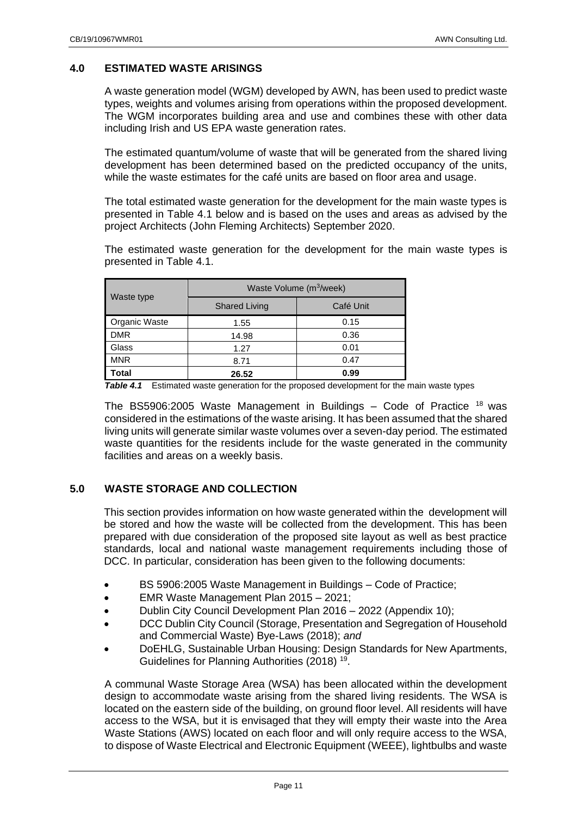# <span id="page-10-0"></span>**4.0 ESTIMATED WASTE ARISINGS**

A waste generation model (WGM) developed by AWN, has been used to predict waste types, weights and volumes arising from operations within the proposed development. The WGM incorporates building area and use and combines these with other data including Irish and US EPA waste generation rates.

The estimated quantum/volume of waste that will be generated from the shared living development has been determined based on the predicted occupancy of the units, while the waste estimates for the café units are based on floor area and usage.

The total estimated waste generation for the development for the main waste types is presented in Table 4.1 below and is based on the uses and areas as advised by the project Architects (John Fleming Architects) September 2020.

The estimated waste generation for the development for the main waste types is presented in Table 4.1.

|                      | Waste Volume (m <sup>3</sup> /week) |           |  |
|----------------------|-------------------------------------|-----------|--|
| Waste type           | <b>Shared Living</b>                | Café Unit |  |
| <b>Organic Waste</b> | 1.55                                | 0.15      |  |
| <b>DMR</b>           | 14.98                               | 0.36      |  |
| Glass                | 1.27                                | 0.01      |  |
| <b>MNR</b>           | 8.71                                | 0.47      |  |
| Total                | 26.52                               | 0.99      |  |

*Table 4.1* Estimated waste generation for the proposed development for the main waste types

The BS5906:2005 Waste Management in Buildings  $-$  Code of Practice  $18$  was considered in the estimations of the waste arising. It has been assumed that the shared living units will generate similar waste volumes over a seven-day period. The estimated waste quantities for the residents include for the waste generated in the community facilities and areas on a weekly basis.

# <span id="page-10-1"></span>**5.0 WASTE STORAGE AND COLLECTION**

This section provides information on how waste generated within the development will be stored and how the waste will be collected from the development. This has been prepared with due consideration of the proposed site layout as well as best practice standards, local and national waste management requirements including those of DCC. In particular, consideration has been given to the following documents:

- BS 5906:2005 Waste Management in Buildings Code of Practice;
- EMR Waste Management Plan 2015 2021;
- Dublin City Council Development Plan 2016 2022 (Appendix 10);
- DCC Dublin City Council (Storage, Presentation and Segregation of Household and Commercial Waste) Bye-Laws (2018); *and*
- DoEHLG, Sustainable Urban Housing: Design Standards for New Apartments, Guidelines for Planning Authorities (2018)<sup>19</sup>.

A communal Waste Storage Area (WSA) has been allocated within the development design to accommodate waste arising from the shared living residents. The WSA is located on the eastern side of the building, on ground floor level. All residents will have access to the WSA, but it is envisaged that they will empty their waste into the Area Waste Stations (AWS) located on each floor and will only require access to the WSA, to dispose of Waste Electrical and Electronic Equipment (WEEE), lightbulbs and waste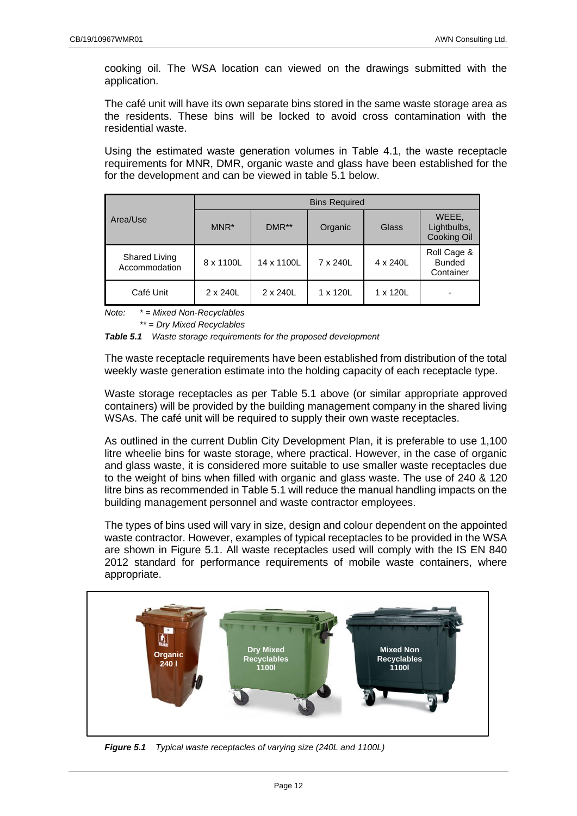cooking oil. The WSA location can viewed on the drawings submitted with the application.

The café unit will have its own separate bins stored in the same waste storage area as the residents. These bins will be locked to avoid cross contamination with the residential waste.

Using the estimated waste generation volumes in Table 4.1, the waste receptacle requirements for MNR, DMR, organic waste and glass have been established for the for the development and can be viewed in table 5.1 below.

|                                | <b>Bins Required</b> |            |          |                 |                                           |
|--------------------------------|----------------------|------------|----------|-----------------|-------------------------------------------|
| Area/Use                       | MNR <sup>*</sup>     | $DMR**$    | Organic  | Glass           | WEEE,<br>Lightbulbs,<br>Cooking Oil       |
| Shared Living<br>Accommodation | 8 x 1100L            | 14 x 1100L | 7 x 240L | 4 x 240L        | Roll Cage &<br><b>Bunded</b><br>Container |
| Café Unit                      | 2 x 240L             | 2 x 240L   | 1 x 120L | $1 \times 120L$ |                                           |

*Note: \* = Mixed Non-Recyclables*

*\*\* = Dry Mixed Recyclables*

*Table 5.1 Waste storage requirements for the proposed development*

The waste receptacle requirements have been established from distribution of the total weekly waste generation estimate into the holding capacity of each receptacle type.

Waste storage receptacles as per Table 5.1 above (or similar appropriate approved containers) will be provided by the building management company in the shared living WSAs. The café unit will be required to supply their own waste receptacles.

As outlined in the current Dublin City Development Plan, it is preferable to use 1,100 litre wheelie bins for waste storage, where practical. However, in the case of organic and glass waste, it is considered more suitable to use smaller waste receptacles due to the weight of bins when filled with organic and glass waste. The use of 240 & 120 litre bins as recommended in Table 5.1 will reduce the manual handling impacts on the building management personnel and waste contractor employees.

The types of bins used will vary in size, design and colour dependent on the appointed waste contractor. However, examples of typical receptacles to be provided in the WSA are shown in Figure 5.1. All waste receptacles used will comply with the IS EN 840 2012 standard for performance requirements of mobile waste containers, where appropriate.



*Figure 5.1 Typical waste receptacles of varying size (240L and 1100L)*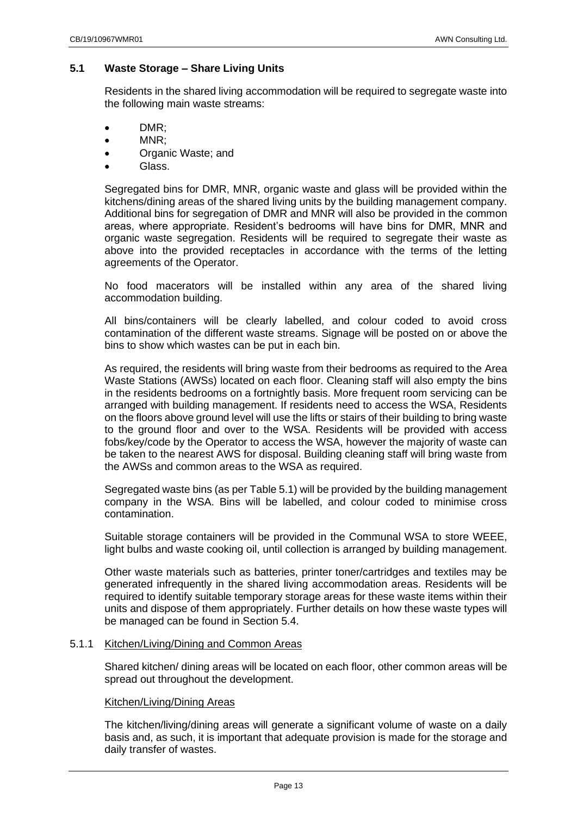# <span id="page-12-0"></span>**5.1 Waste Storage – Share Living Units**

Residents in the shared living accommodation will be required to segregate waste into the following main waste streams:

- DMR;
- MNR;
- Organic Waste; and
- Glass.

Segregated bins for DMR, MNR, organic waste and glass will be provided within the kitchens/dining areas of the shared living units by the building management company. Additional bins for segregation of DMR and MNR will also be provided in the common areas, where appropriate. Resident's bedrooms will have bins for DMR, MNR and organic waste segregation. Residents will be required to segregate their waste as above into the provided receptacles in accordance with the terms of the letting agreements of the Operator.

No food macerators will be installed within any area of the shared living accommodation building.

All bins/containers will be clearly labelled, and colour coded to avoid cross contamination of the different waste streams. Signage will be posted on or above the bins to show which wastes can be put in each bin.

As required, the residents will bring waste from their bedrooms as required to the Area Waste Stations (AWSs) located on each floor. Cleaning staff will also empty the bins in the residents bedrooms on a fortnightly basis. More frequent room servicing can be arranged with building management. If residents need to access the WSA, Residents on the floors above ground level will use the lifts or stairs of their building to bring waste to the ground floor and over to the WSA. Residents will be provided with access fobs/key/code by the Operator to access the WSA, however the majority of waste can be taken to the nearest AWS for disposal. Building cleaning staff will bring waste from the AWSs and common areas to the WSA as required.

Segregated waste bins (as per Table 5.1) will be provided by the building management company in the WSA. Bins will be labelled, and colour coded to minimise cross contamination.

Suitable storage containers will be provided in the Communal WSA to store WEEE, light bulbs and waste cooking oil, until collection is arranged by building management.

Other waste materials such as batteries, printer toner/cartridges and textiles may be generated infrequently in the shared living accommodation areas. Residents will be required to identify suitable temporary storage areas for these waste items within their units and dispose of them appropriately. Further details on how these waste types will be managed can be found in Section 5.4.

#### <span id="page-12-1"></span>5.1.1 Kitchen/Living/Dining and Common Areas

Shared kitchen/ dining areas will be located on each floor, other common areas will be spread out throughout the development.

#### Kitchen/Living/Dining Areas

The kitchen/living/dining areas will generate a significant volume of waste on a daily basis and, as such, it is important that adequate provision is made for the storage and daily transfer of wastes.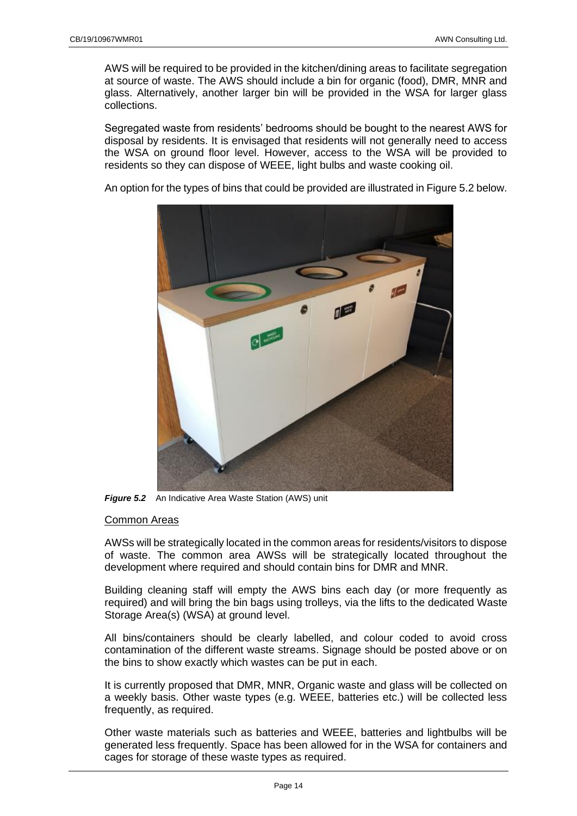AWS will be required to be provided in the kitchen/dining areas to facilitate segregation at source of waste. The AWS should include a bin for organic (food), DMR, MNR and glass. Alternatively, another larger bin will be provided in the WSA for larger glass collections.

Segregated waste from residents' bedrooms should be bought to the nearest AWS for disposal by residents. It is envisaged that residents will not generally need to access the WSA on ground floor level. However, access to the WSA will be provided to residents so they can dispose of WEEE, light bulbs and waste cooking oil.

An option for the types of bins that could be provided are illustrated in Figure 5.2 below.



**Figure 5.2** An Indicative Area Waste Station (AWS) unit

# Common Areas

AWSs will be strategically located in the common areas for residents/visitors to dispose of waste. The common area AWSs will be strategically located throughout the development where required and should contain bins for DMR and MNR.

Building cleaning staff will empty the AWS bins each day (or more frequently as required) and will bring the bin bags using trolleys, via the lifts to the dedicated Waste Storage Area(s) (WSA) at ground level.

All bins/containers should be clearly labelled, and colour coded to avoid cross contamination of the different waste streams. Signage should be posted above or on the bins to show exactly which wastes can be put in each.

It is currently proposed that DMR, MNR, Organic waste and glass will be collected on a weekly basis. Other waste types (e.g. WEEE, batteries etc.) will be collected less frequently, as required.

Other waste materials such as batteries and WEEE, batteries and lightbulbs will be generated less frequently. Space has been allowed for in the WSA for containers and cages for storage of these waste types as required.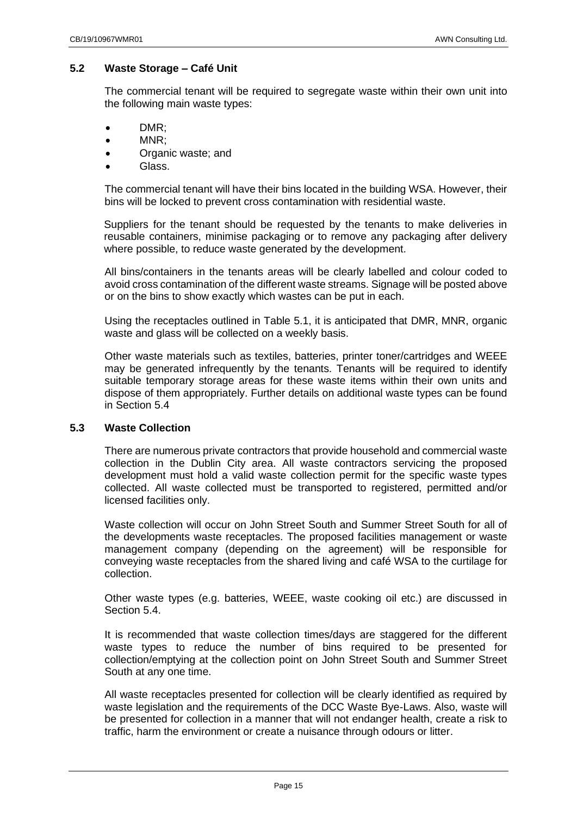# **5.2 Waste Storage – Café Unit**

The commercial tenant will be required to segregate waste within their own unit into the following main waste types:

- DMR;
- MNR;
- Organic waste; and
- Glass.

The commercial tenant will have their bins located in the building WSA. However, their bins will be locked to prevent cross contamination with residential waste.

Suppliers for the tenant should be requested by the tenants to make deliveries in reusable containers, minimise packaging or to remove any packaging after delivery where possible, to reduce waste generated by the development.

All bins/containers in the tenants areas will be clearly labelled and colour coded to avoid cross contamination of the different waste streams. Signage will be posted above or on the bins to show exactly which wastes can be put in each.

Using the receptacles outlined in Table 5.1, it is anticipated that DMR, MNR, organic waste and glass will be collected on a weekly basis.

Other waste materials such as textiles, batteries, printer toner/cartridges and WEEE may be generated infrequently by the tenants. Tenants will be required to identify suitable temporary storage areas for these waste items within their own units and dispose of them appropriately. Further details on additional waste types can be found in Section 5.4

#### <span id="page-14-0"></span>**5.3 Waste Collection**

There are numerous private contractors that provide household and commercial waste collection in the Dublin City area. All waste contractors servicing the proposed development must hold a valid waste collection permit for the specific waste types collected. All waste collected must be transported to registered, permitted and/or licensed facilities only.

Waste collection will occur on John Street South and Summer Street South for all of the developments waste receptacles. The proposed facilities management or waste management company (depending on the agreement) will be responsible for conveying waste receptacles from the shared living and café WSA to the curtilage for collection.

Other waste types (e.g. batteries, WEEE, waste cooking oil etc.) are discussed in Section 5.4.

It is recommended that waste collection times/days are staggered for the different waste types to reduce the number of bins required to be presented for collection/emptying at the collection point on John Street South and Summer Street South at any one time.

All waste receptacles presented for collection will be clearly identified as required by waste legislation and the requirements of the DCC Waste Bye-Laws. Also, waste will be presented for collection in a manner that will not endanger health, create a risk to traffic, harm the environment or create a nuisance through odours or litter.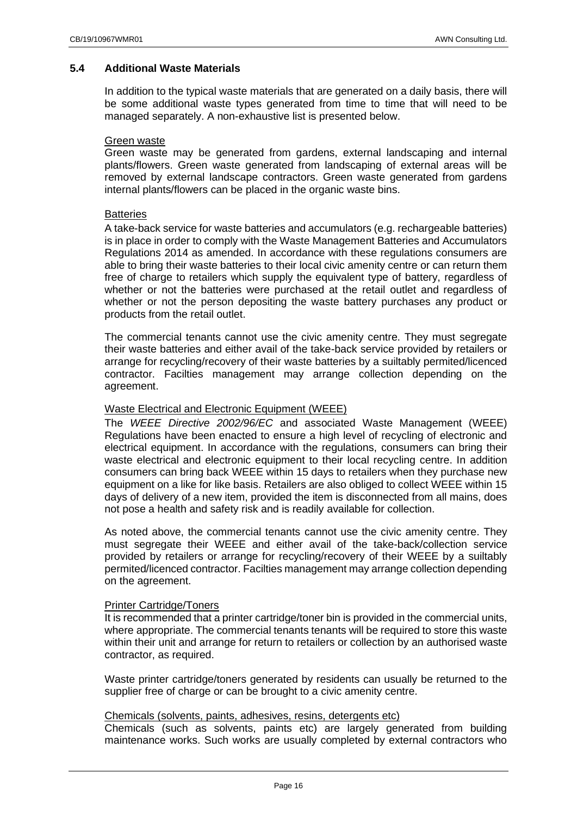#### <span id="page-15-0"></span>**5.4 Additional Waste Materials**

In addition to the typical waste materials that are generated on a daily basis, there will be some additional waste types generated from time to time that will need to be managed separately. A non-exhaustive list is presented below.

#### Green waste

Green waste may be generated from gardens, external landscaping and internal plants/flowers. Green waste generated from landscaping of external areas will be removed by external landscape contractors. Green waste generated from gardens internal plants/flowers can be placed in the organic waste bins.

#### **Batteries**

A take-back service for waste batteries and accumulators (e.g. rechargeable batteries) is in place in order to comply with the Waste Management Batteries and Accumulators Regulations 2014 as amended. In accordance with these regulations consumers are able to bring their waste batteries to their local civic amenity centre or can return them free of charge to retailers which supply the equivalent type of battery, regardless of whether or not the batteries were purchased at the retail outlet and regardless of whether or not the person depositing the waste battery purchases any product or products from the retail outlet.

The commercial tenants cannot use the civic amenity centre. They must segregate their waste batteries and either avail of the take-back service provided by retailers or arrange for recycling/recovery of their waste batteries by a suiltably permited/licenced contractor. Facilties management may arrange collection depending on the agreement.

#### Waste Electrical and Electronic Equipment (WEEE)

The *WEEE Directive 2002/96/EC* and associated Waste Management (WEEE) Regulations have been enacted to ensure a high level of recycling of electronic and electrical equipment. In accordance with the regulations, consumers can bring their waste electrical and electronic equipment to their local recycling centre. In addition consumers can bring back WEEE within 15 days to retailers when they purchase new equipment on a like for like basis. Retailers are also obliged to collect WEEE within 15 days of delivery of a new item, provided the item is disconnected from all mains, does not pose a health and safety risk and is readily available for collection.

As noted above, the commercial tenants cannot use the civic amenity centre. They must segregate their WEEE and either avail of the take-back/collection service provided by retailers or arrange for recycling/recovery of their WEEE by a suiltably permited/licenced contractor. Facilties management may arrange collection depending on the agreement.

#### Printer Cartridge/Toners

It is recommended that a printer cartridge/toner bin is provided in the commercial units, where appropriate. The commercial tenants tenants will be required to store this waste within their unit and arrange for return to retailers or collection by an authorised waste contractor, as required.

Waste printer cartridge/toners generated by residents can usually be returned to the supplier free of charge or can be brought to a civic amenity centre.

#### Chemicals (solvents, paints, adhesives, resins, detergents etc)

Chemicals (such as solvents, paints etc) are largely generated from building maintenance works. Such works are usually completed by external contractors who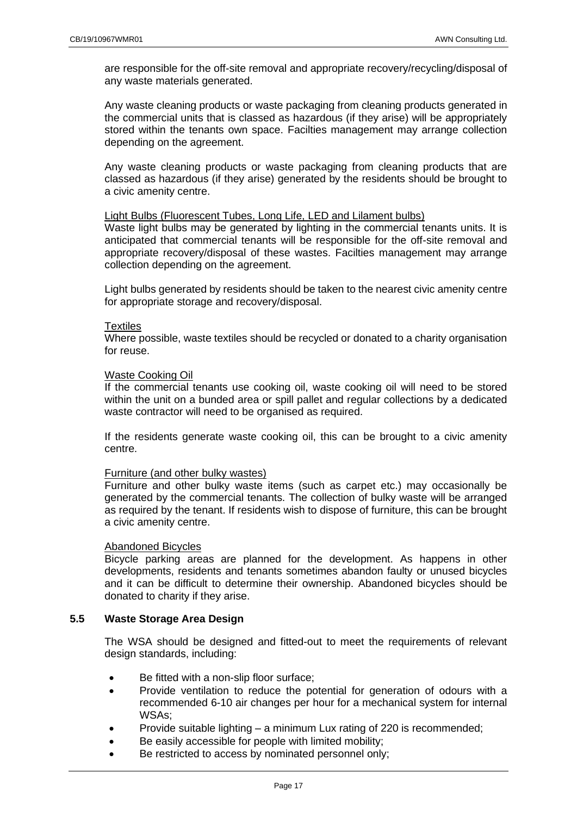are responsible for the off-site removal and appropriate recovery/recycling/disposal of any waste materials generated.

Any waste cleaning products or waste packaging from cleaning products generated in the commercial units that is classed as hazardous (if they arise) will be appropriately stored within the tenants own space. Facilties management may arrange collection depending on the agreement.

Any waste cleaning products or waste packaging from cleaning products that are classed as hazardous (if they arise) generated by the residents should be brought to a civic amenity centre.

#### Light Bulbs (Fluorescent Tubes, Long Life, LED and Lilament bulbs)

Waste light bulbs may be generated by lighting in the commercial tenants units. It is anticipated that commercial tenants will be responsible for the off-site removal and appropriate recovery/disposal of these wastes. Facilties management may arrange collection depending on the agreement.

Light bulbs generated by residents should be taken to the nearest civic amenity centre for appropriate storage and recovery/disposal.

#### **Textiles**

Where possible, waste textiles should be recycled or donated to a charity organisation for reuse.

#### Waste Cooking Oil

If the commercial tenants use cooking oil, waste cooking oil will need to be stored within the unit on a bunded area or spill pallet and regular collections by a dedicated waste contractor will need to be organised as required.

If the residents generate waste cooking oil, this can be brought to a civic amenity centre.

#### Furniture (and other bulky wastes)

Furniture and other bulky waste items (such as carpet etc.) may occasionally be generated by the commercial tenants. The collection of bulky waste will be arranged as required by the tenant. If residents wish to dispose of furniture, this can be brought a civic amenity centre.

#### Abandoned Bicycles

Bicycle parking areas are planned for the development. As happens in other developments, residents and tenants sometimes abandon faulty or unused bicycles and it can be difficult to determine their ownership. Abandoned bicycles should be donated to charity if they arise.

## <span id="page-16-0"></span>**5.5 Waste Storage Area Design**

The WSA should be designed and fitted-out to meet the requirements of relevant design standards, including:

- Be fitted with a non-slip floor surface;
- Provide ventilation to reduce the potential for generation of odours with a recommended 6-10 air changes per hour for a mechanical system for internal WSAs;
- Provide suitable lighting a minimum Lux rating of 220 is recommended;
- Be easily accessible for people with limited mobility;
- Be restricted to access by nominated personnel only;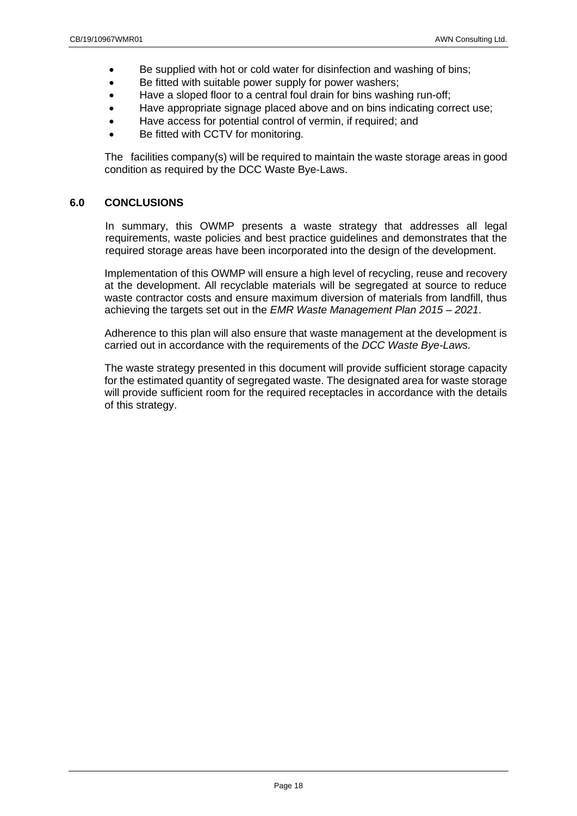- Be supplied with hot or cold water for disinfection and washing of bins;
- Be fitted with suitable power supply for power washers;
- Have a sloped floor to a central foul drain for bins washing run-off;
- Have appropriate signage placed above and on bins indicating correct use;
- Have access for potential control of vermin, if required; and
- Be fitted with CCTV for monitoring.

The facilities company(s) will be required to maintain the waste storage areas in good condition as required by the DCC Waste Bye-Laws.

## <span id="page-17-0"></span>**6.0 CONCLUSIONS**

In summary, this OWMP presents a waste strategy that addresses all legal requirements, waste policies and best practice guidelines and demonstrates that the required storage areas have been incorporated into the design of the development.

Implementation of this OWMP will ensure a high level of recycling, reuse and recovery at the development. All recyclable materials will be segregated at source to reduce waste contractor costs and ensure maximum diversion of materials from landfill, thus achieving the targets set out in the *EMR Waste Management Plan 2015 – 2021*.

Adherence to this plan will also ensure that waste management at the development is carried out in accordance with the requirements of the *DCC Waste Bye-Laws.*

The waste strategy presented in this document will provide sufficient storage capacity for the estimated quantity of segregated waste. The designated area for waste storage will provide sufficient room for the required receptacles in accordance with the details of this strategy.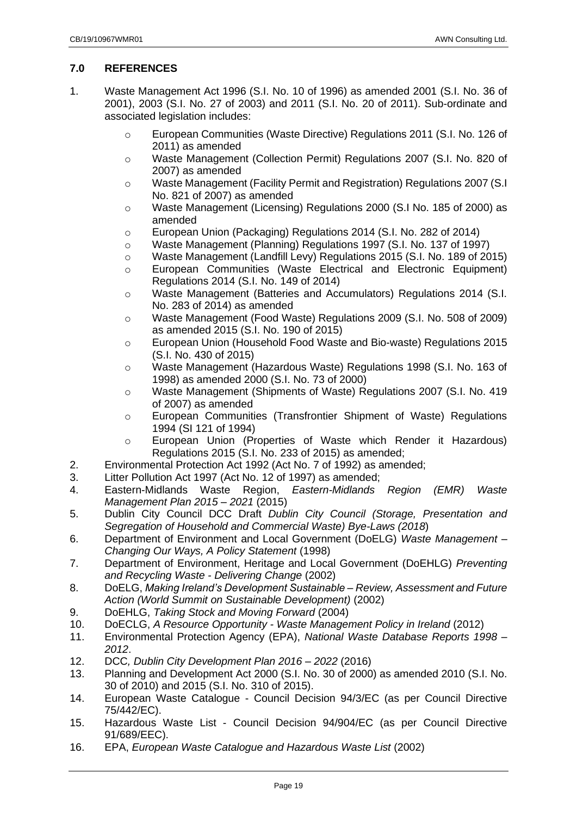# <span id="page-18-0"></span>**7.0 REFERENCES**

- 1. Waste Management Act 1996 (S.I. No. 10 of 1996) as amended 2001 (S.I. No. 36 of 2001), 2003 (S.I. No. 27 of 2003) and 2011 (S.I. No. 20 of 2011). Sub-ordinate and associated legislation includes:
	- o European Communities (Waste Directive) Regulations 2011 (S.I. No. 126 of 2011) as amended
	- o Waste Management (Collection Permit) Regulations 2007 (S.I. No. 820 of 2007) as amended
	- o Waste Management (Facility Permit and Registration) Regulations 2007 (S.I No. 821 of 2007) as amended
	- o Waste Management (Licensing) Regulations 2000 (S.I No. 185 of 2000) as amended
	- o European Union (Packaging) Regulations 2014 (S.I. No. 282 of 2014)
	- o Waste Management (Planning) Regulations 1997 (S.I. No. 137 of 1997)
	- o Waste Management (Landfill Levy) Regulations 2015 (S.I. No. 189 of 2015)
	- o European Communities (Waste Electrical and Electronic Equipment) Regulations 2014 (S.I. No. 149 of 2014)
	- o Waste Management (Batteries and Accumulators) Regulations 2014 (S.I. No. 283 of 2014) as amended
	- o Waste Management (Food Waste) Regulations 2009 (S.I. No. 508 of 2009) as amended 2015 (S.I. No. 190 of 2015)
	- o European Union (Household Food Waste and Bio-waste) Regulations 2015 (S.I. No. 430 of 2015)
	- o Waste Management (Hazardous Waste) Regulations 1998 (S.I. No. 163 of 1998) as amended 2000 (S.I. No. 73 of 2000)
	- o Waste Management (Shipments of Waste) Regulations 2007 (S.I. No. 419 of 2007) as amended
	- o European Communities (Transfrontier Shipment of Waste) Regulations 1994 (SI 121 of 1994)
	- o European Union (Properties of Waste which Render it Hazardous) Regulations 2015 (S.I. No. 233 of 2015) as amended;
- 2. Environmental Protection Act 1992 (Act No. 7 of 1992) as amended;
- 3. Litter Pollution Act 1997 (Act No. 12 of 1997) as amended;
- 4. Eastern-Midlands Waste Region, *Eastern-Midlands Region (EMR) Waste Management Plan 2015 – 2021* (2015)
- 5. Dublin City Council DCC Draft *Dublin City Council (Storage, Presentation and Segregation of Household and Commercial Waste) Bye-Laws (2018*)
- 6. Department of Environment and Local Government (DoELG) *Waste Management – Changing Our Ways, A Policy Statement* (1998)
- 7. Department of Environment, Heritage and Local Government (DoEHLG) *Preventing and Recycling Waste - Delivering Change* (2002)
- 8. DoELG, *Making Ireland's Development Sustainable – Review, Assessment and Future Action (World Summit on Sustainable Development)* (2002)
- 9. DoEHLG, *Taking Stock and Moving Forward* (2004)
- 10. DoECLG, *A Resource Opportunity - Waste Management Policy in Ireland* (2012)
- 11. Environmental Protection Agency (EPA), *National Waste Database Reports 1998 – 2012*.
- 12. DCC*, Dublin City Development Plan 2016 – 2022* (2016)
- 13. Planning and Development Act 2000 (S.I. No. 30 of 2000) as amended 2010 (S.I. No. 30 of 2010) and 2015 (S.I. No. 310 of 2015).
- 14. European Waste Catalogue Council Decision 94/3/EC (as per Council Directive 75/442/EC).
- 15. Hazardous Waste List Council Decision 94/904/EC (as per Council Directive 91/689/EEC).
- 16. EPA, *European Waste Catalogue and Hazardous Waste List* (2002)